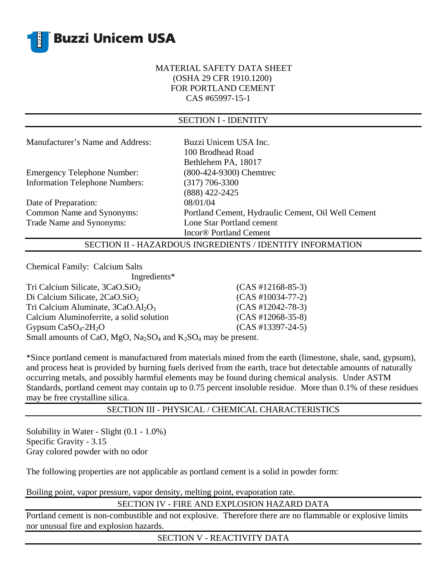

## MATERIAL SAFETY DATA SHEET (OSHA 29 CFR 1910.1200) FOR PORTLAND CEMENT CAS #65997-15-1

| <b>SECTION I - IDENTITY</b>           |                                                    |  |
|---------------------------------------|----------------------------------------------------|--|
|                                       |                                                    |  |
| Manufacturer's Name and Address:      | Buzzi Unicem USA Inc.                              |  |
|                                       | 100 Brodhead Road                                  |  |
|                                       | Bethlehem PA, 18017                                |  |
| <b>Emergency Telephone Number:</b>    | (800-424-9300) Chemtrec                            |  |
| <b>Information Telephone Numbers:</b> | (317) 706-3300                                     |  |
|                                       | (888) 422-2425                                     |  |
| Date of Preparation:                  | 08/01/04                                           |  |
| Common Name and Synonyms:             | Portland Cement, Hydraulic Cement, Oil Well Cement |  |
| Trade Name and Synonyms:              | Lone Star Portland cement                          |  |
|                                       | Incor <sup>®</sup> Portland Cement                 |  |

SECTION II - HAZARDOUS INGREDIENTS / IDENTITY INFORMATION

Chemical Family: Calcium Salts

| Ingredients*                                                    |                     |  |
|-----------------------------------------------------------------|---------------------|--|
| Tri Calcium Silicate, $3CaO.SiO2$                               | $(CAS #12168-85-3)$ |  |
| Di Calcium Silicate, $2CaO.SiO2$                                | $(CAS #10034-77-2)$ |  |
| Tri Calcium Aluminate, $3CaO.AI2O3$                             | $(CAS #12042-78-3)$ |  |
| Calcium Aluminoferrite, a solid solution                        | $(CAS #12068-35-8)$ |  |
| Gypsum $CaSO4-2H2O$                                             | $(CAS #13397-24-5)$ |  |
| Small amounts of CaO, MgO, $Na2SO4$ and $K2SO4$ may be present. |                     |  |

\*Since portland cement is manufactured from materials mined from the earth (limestone, shale, sand, gypsum), and process heat is provided by burning fuels derived from the earth, trace but detectable amounts of naturally occurring metals, and possibly harmful elements may be found during chemical analysis. Under ASTM Standards, portland cement may contain up to 0.75 percent insoluble residue. More than 0.1% of these residues may be free crystalline silica.

## SECTION III - PHYSICAL / CHEMICAL CHARACTERISTICS

Solubility in Water - Slight (0.1 - 1.0%) Specific Gravity - 3.15 Gray colored powder with no odor

The following properties are not applicable as portland cement is a solid in powder form:

Boiling point, vapor pressure, vapor density, melting point, evaporation rate.

SECTION IV - FIRE AND EXPLOSION HAZARD DATA

Portland cement is non-combustible and not explosive. Therefore there are no flammable or explosive limits nor unusual fire and explosion hazards.

SECTION V - REACTIVITY DATA